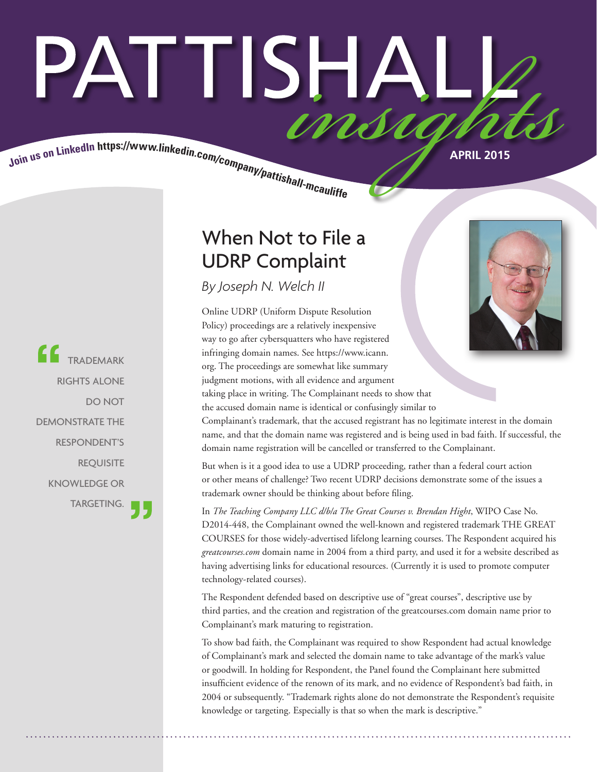# PATTISHAI Join us on LinkedIn https://www.linkedin.com/company/pattishall-mcaulist.

TRADEMARK RIGHTS ALONE DO NOT DEMONSTRATE THE RESPONDENT'S **REQUISITE** KNOWLEDGE OR TARGETING.

### When Not to File a UDRP Complaint

*By Joseph N. Welch II*

Online UDRP (Uniform Dispute Resolution Policy) proceedings are a relatively inexpensive way to go after cybersquatters who have registered infringing domain names. See https://www.icann. org. The proceedings are somewhat like summary judgment motions, with all evidence and argument taking place in writing. The Complainant needs to show that the accused domain name is identical or confusingly similar to Complainant's trademark, that the accused registrant has no legitimate interest in the domain name, and that the domain name was registered and is being used in bad faith. If successful, the

domain name registration will be cancelled or transferred to the Complainant.

But when is it a good idea to use a UDRP proceeding, rather than a federal court action or other means of challenge? Two recent UDRP decisions demonstrate some of the issues a trademark owner should be thinking about before filing.

In *The Teaching Company LLC d/b/a The Great Courses v. Brendan Hight*, WIPO Case No. D2014-448, the Complainant owned the well-known and registered trademark THE GREAT COURSES for those widely-advertised lifelong learning courses. The Respondent acquired his *greatcourses.com* domain name in 2004 from a third party, and used it for a website described as having advertising links for educational resources. (Currently it is used to promote computer technology-related courses).

The Respondent defended based on descriptive use of "great courses", descriptive use by third parties, and the creation and registration of the greatcourses.com domain name prior to Complainant's mark maturing to registration.

To show bad faith, the Complainant was required to show Respondent had actual knowledge of Complainant's mark and selected the domain name to take advantage of the mark's value or goodwill. In holding for Respondent, the Panel found the Complainant here submitted insufficient evidence of the renown of its mark, and no evidence of Respondent's bad faith, in 2004 or subsequently. "Trademark rights alone do not demonstrate the Respondent's requisite knowledge or targeting. Especially is that so when the mark is descriptive."

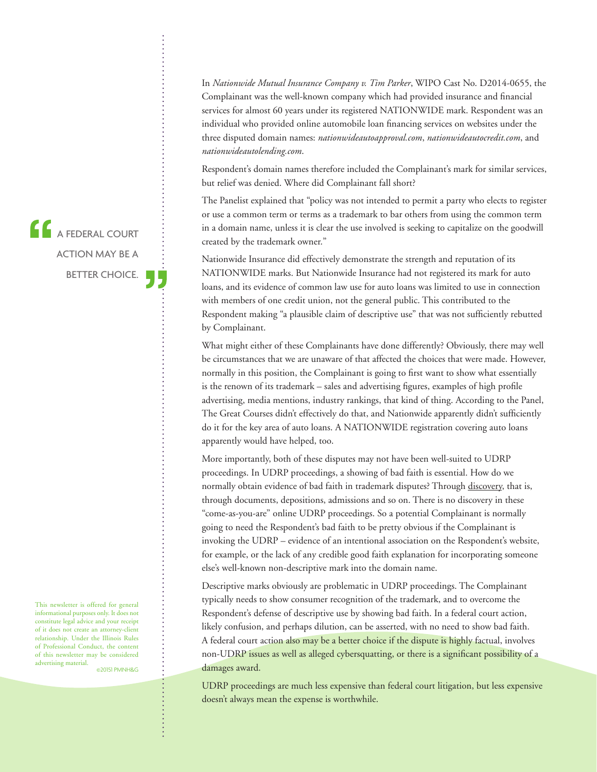In *Nationwide Mutual Insurance Company v. Tim Parker*, WIPO Cast No. D2014-0655, the Complainant was the well-known company which had provided insurance and financial services for almost 60 years under its registered NATIONWIDE mark. Respondent was an individual who provided online automobile loan financing services on websites under the three disputed domain names: *nationwideautoapproval.com*, *nationwideautocredit.com*, and *nationwideautolending.com*.

Respondent's domain names therefore included the Complainant's mark for similar services, but relief was denied. Where did Complainant fall short?

The Panelist explained that "policy was not intended to permit a party who elects to register or use a common term or terms as a trademark to bar others from using the common term in a domain name, unless it is clear the use involved is seeking to capitalize on the goodwill created by the trademark owner."

Nationwide Insurance did effectively demonstrate the strength and reputation of its NATIONWIDE marks. But Nationwide Insurance had not registered its mark for auto loans, and its evidence of common law use for auto loans was limited to use in connection with members of one credit union, not the general public. This contributed to the Respondent making "a plausible claim of descriptive use" that was not sufficiently rebutted by Complainant.

What might either of these Complainants have done differently? Obviously, there may well be circumstances that we are unaware of that affected the choices that were made. However, normally in this position, the Complainant is going to first want to show what essentially is the renown of its trademark – sales and advertising figures, examples of high profile advertising, media mentions, industry rankings, that kind of thing. According to the Panel, The Great Courses didn't effectively do that, and Nationwide apparently didn't sufficiently do it for the key area of auto loans. A NATIONWIDE registration covering auto loans apparently would have helped, too.

More importantly, both of these disputes may not have been well-suited to UDRP proceedings. In UDRP proceedings, a showing of bad faith is essential. How do we normally obtain evidence of bad faith in trademark disputes? Through discovery, that is, through documents, depositions, admissions and so on. There is no discovery in these "come-as-you-are" online UDRP proceedings. So a potential Complainant is normally going to need the Respondent's bad faith to be pretty obvious if the Complainant is invoking the UDRP – evidence of an intentional association on the Respondent's website, for example, or the lack of any credible good faith explanation for incorporating someone else's well-known non-descriptive mark into the domain name.

Descriptive marks obviously are problematic in UDRP proceedings. The Complainant typically needs to show consumer recognition of the trademark, and to overcome the Respondent's defense of descriptive use by showing bad faith. In a federal court action, likely confusion, and perhaps dilution, can be asserted, with no need to show bad faith. A federal court action also may be a better choice if the dispute is highly factual, involves non-UDRP issues as well as alleged cybersquatting, or there is a significant possibility of a damages award.

UDRP proceedings are much less expensive than federal court litigation, but less expensive doesn't always mean the expense is worthwhile.

**A FEDERAL COURT** ACTION MAY BE A BETTER CHOICE.

This newsletter is offered for general informational purposes only. It does not constitute legal advice and your receipt of it does not create an attorney-client relationship. Under the Illinois Rules of Professional Conduct, the content of this newsletter may be considered advertising material.

©20151 PMNH&G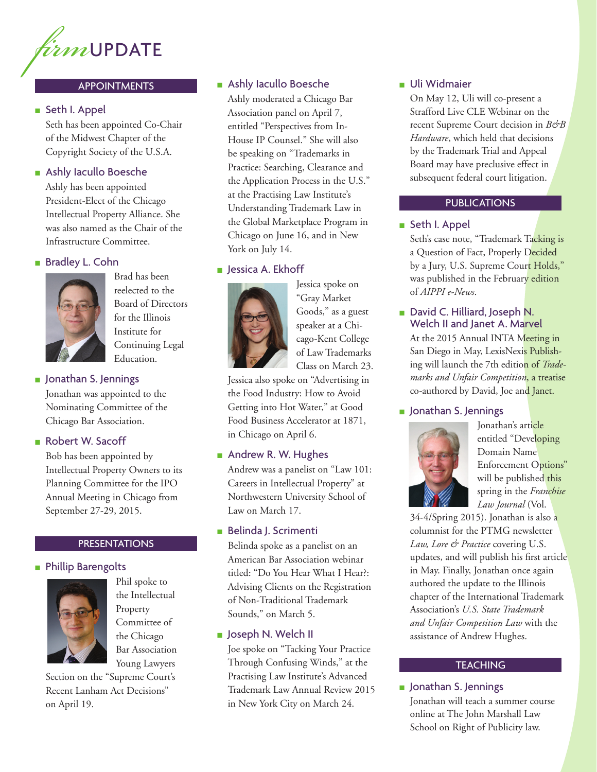

#### APPOINTMENTS

#### ■ Seth I. Appel

Seth has been appointed Co-Chair of the Midwest Chapter of the Copyright Society of the U.S.A.

#### ■ Ashly Iacullo Boesche

Ashly has been appointed President-Elect of the Chicago Intellectual Property Alliance. She was also named as the Chair of the Infrastructure Committee.

#### ■ Bradley L. Cohn



Brad has been reelected to the Board of Directors for the Illinois Institute for Continuing Legal Education.

#### ■ Jonathan S. Jennings

Jonathan was appointed to the Nominating Committee of the Chicago Bar Association.

#### ■ Robert W. Sacoff

Bob has been appointed by Intellectual Property Owners to its Planning Committee for the IPO Annual Meeting in Chicago from September 27-29, 2015.

#### **PRESENTATIONS**

#### ■ Phillip Barengolts



Phil spoke to the Intellectual Property Committee of the Chicago Bar Association Young Lawyers

Section on the "Supreme Court's Recent Lanham Act Decisions" on April 19.

#### ■ Ashly Iacullo Boesche

Ashly moderated a Chicago Bar Association panel on April 7, entitled "Perspectives from In-House IP Counsel." She will also be speaking on "Trademarks in Practice: Searching, Clearance and the Application Process in the U.S." at the Practising Law Institute's Understanding Trademark Law in the Global Marketplace Program in Chicago on June 16, and in New York on July 14.

#### ■ Jessica A. Ekhoff



Jessica spoke on "Gray Market Goods," as a guest speaker at a Chicago-Kent College of Law Trademarks Class on March 23.

Jessica also spoke on "Advertising in the Food Industry: How to Avoid Getting into Hot Water," at Good Food Business Accelerator at 1871, in Chicago on April 6.

#### ■ Andrew R. W. Hughes

Andrew was a panelist on "Law 101: Careers in Intellectual Property" at Northwestern University School of Law on March 17.

#### ■ Belinda J. Scrimenti

Belinda spoke as a panelist on an American Bar Association webinar titled: "Do You Hear What I Hear?: Advising Clients on the Registration of Non-Traditional Trademark Sounds," on March 5.

#### ■ Joseph N. Welch II

Joe spoke on "Tacking Your Practice Through Confusing Winds," at the Practising Law Institute's Advanced Trademark Law Annual Review 2015 in New York City on March 24.

#### ■ Uli Widmaier

On May 12, Uli will co-present a Strafford Live CLE Webinar on the recent Supreme Court decision in *B&B Hardware*, which held that decisions by the Trademark Trial and Appeal Board may have preclusive effect in subsequent federal court litigation.

#### PUBLICATIONS

#### ■ Seth I. Appel

Seth's case note, "Trademark Tacking is a Question of Fact, Properly Decided by a Jury, U.S. Supreme Court Holds," was published in the February edition of *AIPPI e-News*.

#### ■ David C. Hilliard, Joseph N. Welch II and Janet A. Marvel

At the 2015 Annual INTA Meeting in San Diego in May, LexisNexis Publishing will launch the 7th edition of *Trademarks and Unfair Competition*, a treatise co-authored by David, Joe and Janet.

#### ■ Jonathan S. Jennings



Jonathan's article entitled "Developing Domain Name Enforcement Options" will be published this spring in the *Franchise Law Journal* (Vol.

34-4/Spring 2015). Jonathan is also a columnist for the PTMG newsletter *Law, Lore & Practice* covering U.S. updates, and will publish his first article in May. Finally, Jonathan once again authored the update to the Illinois chapter of the International Trademark Association's *U.S. State Trademark and Unfair Competition Law* with the assistance of Andrew Hughes.

#### **TEACHING**

#### ■ Jonathan S. Jennings

Jonathan will teach a summer course online at The John Marshall Law School on Right of Publicity law.